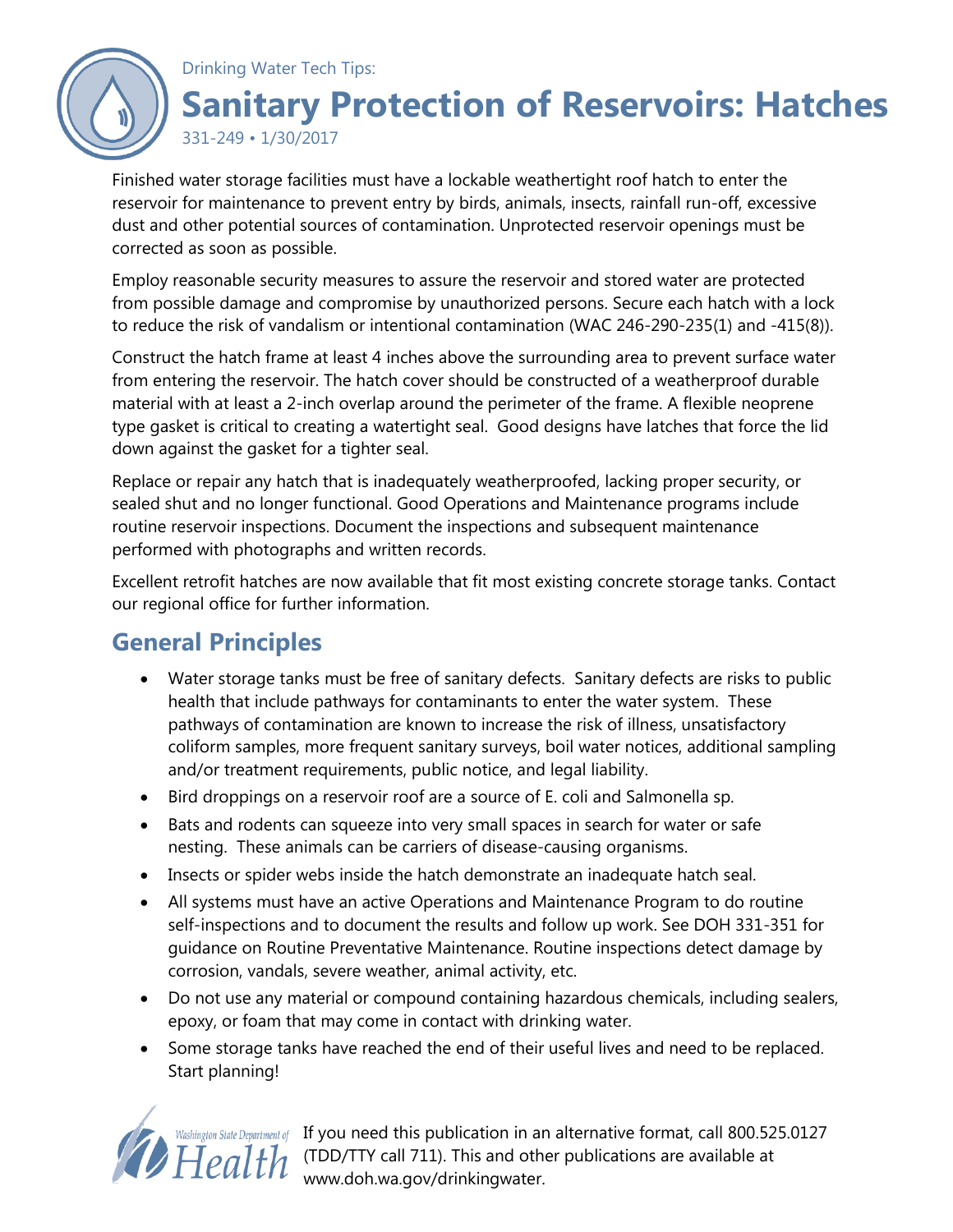

Finished water storage facilities must have a lockable weathertight roof hatch to enter the reservoir for maintenance to prevent entry by birds, animals, insects, rainfall run-off, excessive dust and other potential sources of contamination. Unprotected reservoir openings must be corrected as soon as possible.

Employ reasonable security measures to assure the reservoir and stored water are protected from possible damage and compromise by unauthorized persons. Secure each hatch with a lock to reduce the risk of vandalism or intentional contamination (WAC 246-290-235(1) and -415(8)).

Construct the hatch frame at least 4 inches above the surrounding area to prevent surface water from entering the reservoir. The hatch cover should be constructed of a weatherproof durable material with at least a 2-inch overlap around the perimeter of the frame. A flexible neoprene type gasket is critical to creating a watertight seal. Good designs have latches that force the lid down against the gasket for a tighter seal.

Replace or repair any hatch that is inadequately weatherproofed, lacking proper security, or sealed shut and no longer functional. Good Operations and Maintenance programs include routine reservoir inspections. Document the inspections and subsequent maintenance performed with photographs and written records.

Excellent retrofit hatches are now available that fit most existing concrete storage tanks. Contact our regional office for further information.

# **General Principles**

- Water storage tanks must be free of sanitary defects. Sanitary defects are risks to public health that include pathways for contaminants to enter the water system. These pathways of contamination are known to increase the risk of illness, unsatisfactory coliform samples, more frequent sanitary surveys, boil water notices, additional sampling and/or treatment requirements, public notice, and legal liability.
- Bird droppings on a reservoir roof are a source of E. coli and Salmonella sp.
- Bats and rodents can squeeze into very small spaces in search for water or safe nesting. These animals can be carriers of disease-causing organisms.
- Insects or spider webs inside the hatch demonstrate an inadequate hatch seal.
- All systems must have an active Operations and Maintenance Program to do routine self-inspections and to document the results and follow up work. See DOH 331-351 for guidance on Routine Preventative Maintenance. Routine inspections detect damage by corrosion, vandals, severe weather, animal activity, etc.
- Do not use any material or compound containing hazardous chemicals, including sealers, epoxy, or foam that may come in contact with drinking water.
- Some storage tanks have reached the end of their useful lives and need to be replaced. Start planning!



Washington State Department of If you need this publication in an alternative format, call 800.525.0127  $Health$  (TDD/TTY call 711). This and other publications are available at www.doh.wa.gov/drinkingwater.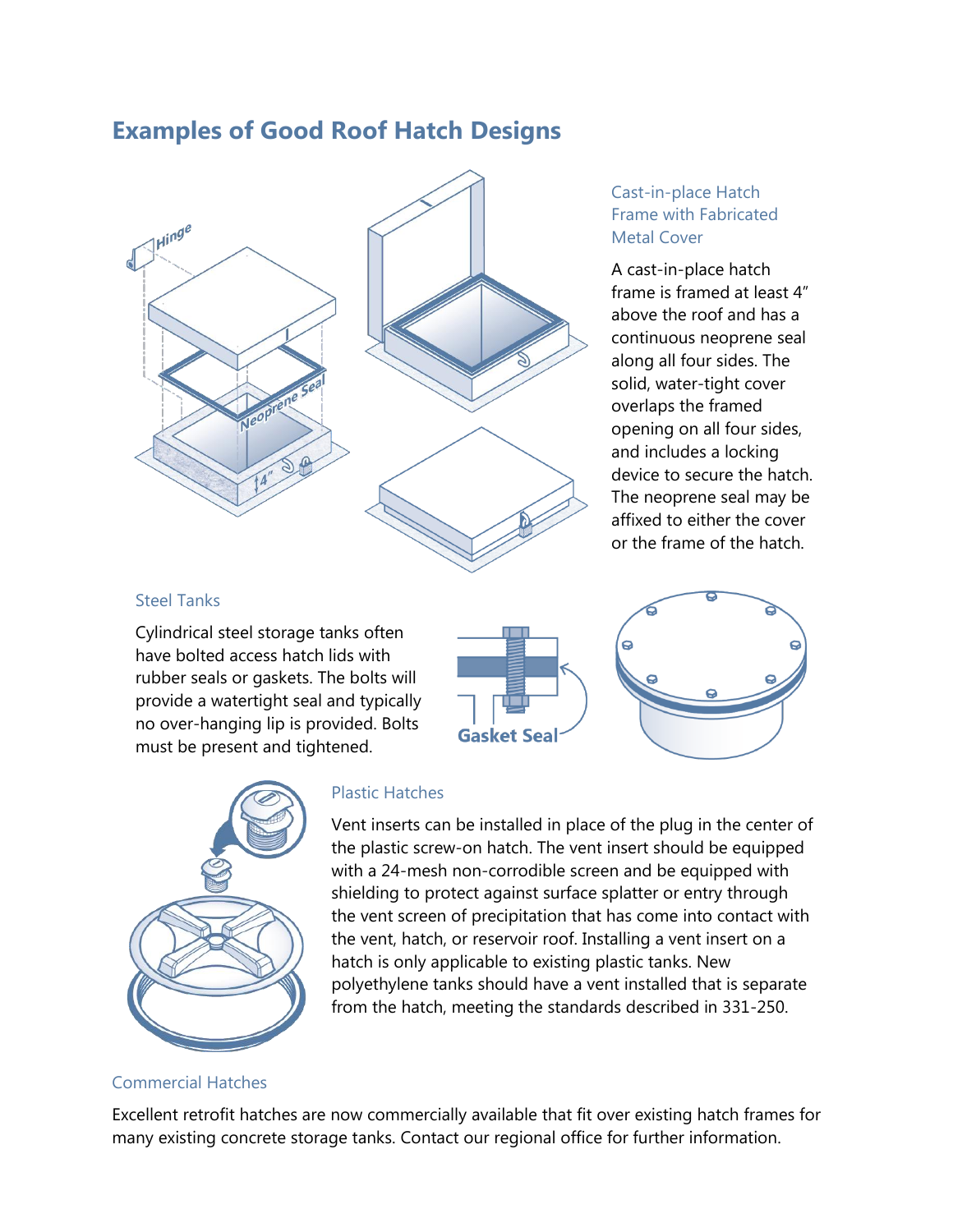### **Examples of Good Roof Hatch Designs**



### Cast-in-place Hatch Frame with Fabricated Metal Cover

A cast-in-place hatch frame is framed at least 4" above the roof and has a continuous neoprene seal along all four sides. The solid, water-tight cover overlaps the framed opening on all four sides, and includes a locking device to secure the hatch. The neoprene seal may be affixed to either the cover or the frame of the hatch.

### Steel Tanks

Cylindrical steel storage tanks often have bolted access hatch lids with rubber seals or gaskets. The bolts will provide a watertight seal and typically no over-hanging lip is provided. Bolts must be present and tightened.



![](_page_1_Picture_7.jpeg)

![](_page_1_Picture_8.jpeg)

#### Plastic Hatches

Vent inserts can be installed in place of the plug in the center of the plastic screw-on hatch. The vent insert should be equipped with a 24-mesh non-corrodible screen and be equipped with shielding to protect against surface splatter or entry through the vent screen of precipitation that has come into contact with the vent, hatch, or reservoir roof. Installing a vent insert on a hatch is only applicable to existing plastic tanks. New polyethylene tanks should have a vent installed that is separate from the hatch, meeting the standards described in 331-250.

#### Commercial Hatches

Excellent retrofit hatches are now commercially available that fit over existing hatch frames for many existing concrete storage tanks. Contact our regional office for further information.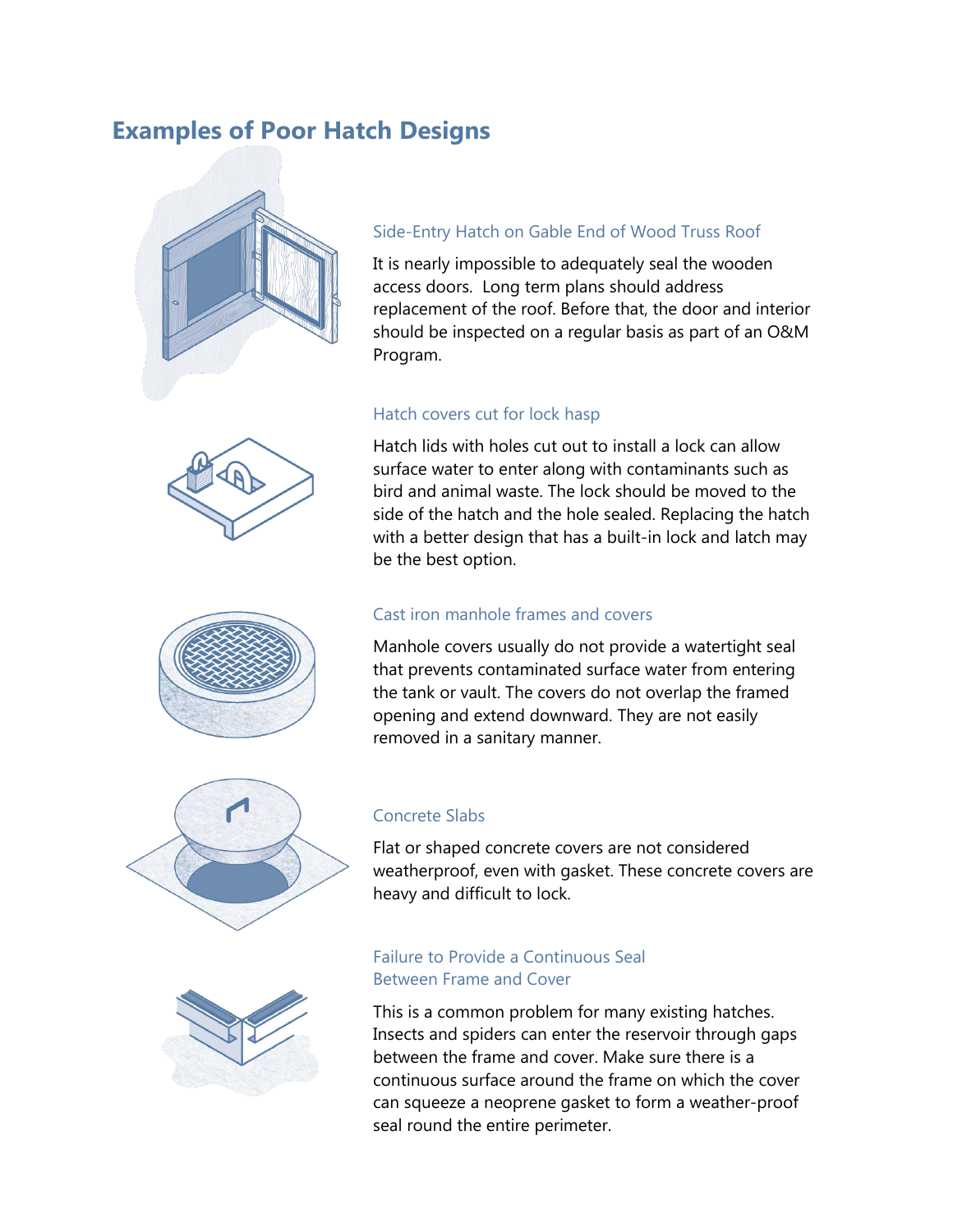## **Examples of Poor Hatch Designs**

![](_page_2_Picture_1.jpeg)

![](_page_2_Picture_2.jpeg)

![](_page_2_Picture_3.jpeg)

![](_page_2_Picture_4.jpeg)

## Side-Entry Hatch on Gable End of Wood Truss Roof

It is nearly impossible to adequately seal the wooden access doors. Long term plans should address replacement of the roof. Before that, the door and interior should be inspected on a regular basis as part of an O&M Program.

#### Hatch covers cut for lock hasp

Hatch lids with holes cut out to install a lock can allow surface water to enter along with contaminants such as bird and animal waste. The lock should be moved to the side of the hatch and the hole sealed. Replacing the hatch with a better design that has a built-in lock and latch may be the best option.

#### Cast iron manhole frames and covers

Manhole covers usually do not provide a watertight seal that prevents contaminated surface water from entering the tank or vault. The covers do not overlap the framed opening and extend downward. They are not easily removed in a sanitary manner.

#### Concrete Slabs

Flat or shaped concrete covers are not considered weatherproof, even with gasket. These concrete covers are heavy and difficult to lock.

### Failure to Provide a Continuous Seal Between Frame and Cover

This is a common problem for many existing hatches. Insects and spiders can enter the reservoir through gaps between the frame and cover. Make sure there is a continuous surface around the frame on which the cover can squeeze a neoprene gasket to form a weather-proof seal round the entire perimeter.